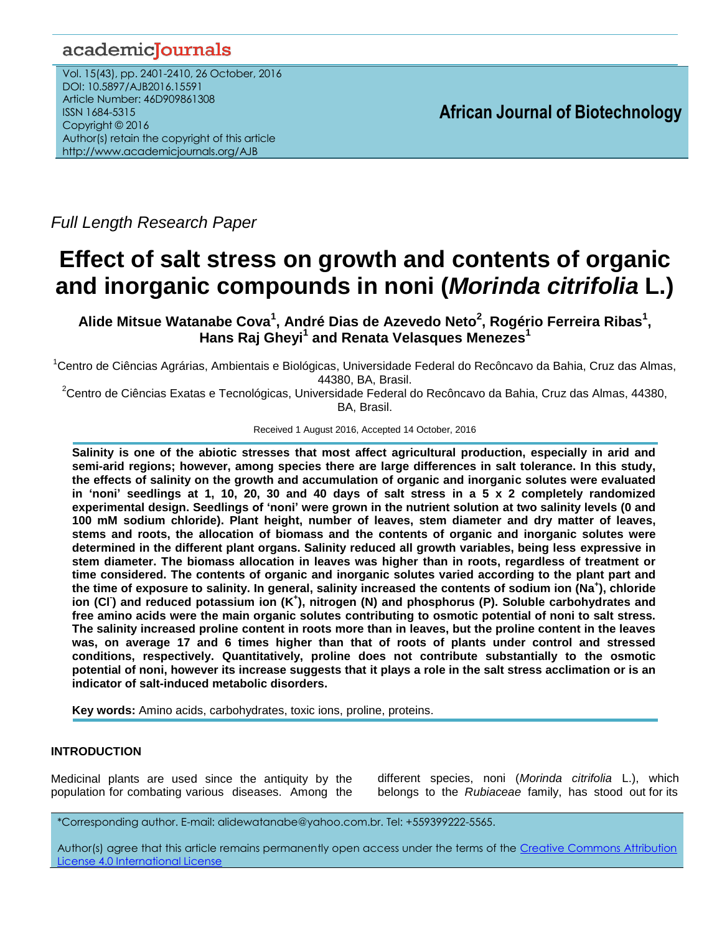# academicJournals

Vol. 15(43), pp. 2401-2410, 26 October, 2016 DOI: 10.5897/AJB2016.15591 Article Number: 46D909861308 ISSN 1684-5315 Copyright © 2016 Author(s) retain the copyright of this article http://www.academicjournals.org/AJB

**African Journal of Biotechnology**

*Full Length Research Paper*

# **Effect of salt stress on growth and contents of organic and inorganic compounds in noni (***Morinda citrifolia* **L.)**

Alide Mitsue Watanabe Cova<sup>1</sup>, André Dias de Azevedo Neto<sup>2</sup>, Rogério Ferreira Ribas<sup>1</sup>, **Hans Raj Gheyi<sup>1</sup> and Renata Velasques Menezes<sup>1</sup>**

<sup>1</sup>Centro de Ciências Agrárias, Ambientais e Biológicas, Universidade Federal do Recôncavo da Bahia, Cruz das Almas, 44380, BA, Brasil.

 $^{2}$ Centro de Ciências Exatas e Tecnológicas, Universidade Federal do Recôncavo da Bahia, Cruz das Almas, 44380, BA, Brasil.

Received 1 August 2016, Accepted 14 October, 2016

**Salinity is one of the abiotic stresses that most affect agricultural production, especially in arid and semi-arid regions; however, among species there are large differences in salt tolerance. In this study, the effects of salinity on the growth and accumulation of organic and inorganic solutes were evaluated in 'noni' seedlings at 1, 10, 20, 30 and 40 days of salt stress in a 5 x 2 completely randomized experimental design. Seedlings of 'noni' were grown in the nutrient solution at two salinity levels (0 and 100 mM sodium chloride). Plant height, number of leaves, stem diameter and dry matter of leaves, stems and roots, the allocation of biomass and the contents of organic and inorganic solutes were determined in the different plant organs. Salinity reduced all growth variables, being less expressive in stem diameter. The biomass allocation in leaves was higher than in roots, regardless of treatment or time considered. The contents of organic and inorganic solutes varied according to the plant part and the time of exposure to salinity. In general, salinity increased the contents of sodium ion (Na<sup>+</sup> ), chloride**  ion (CI) and reduced potassium ion (K<sup>+</sup>), nitrogen (N) and phosphorus (P). Soluble carbohydrates and **free amino acids were the main organic solutes contributing to osmotic potential of noni to salt stress. The salinity increased proline content in roots more than in leaves, but the proline content in the leaves was, on average 17 and 6 times higher than that of roots of plants under control and stressed conditions, respectively. Quantitatively, proline does not contribute substantially to the osmotic potential of noni, however its increase suggests that it plays a role in the salt stress acclimation or is an indicator of salt-induced metabolic disorders.**

**Key words:** Amino acids, carbohydrates, toxic ions, proline, proteins.

# **INTRODUCTION**

Medicinal plants are used since the antiquity by the population for combating various diseases. Among the

different species, noni (*Morinda citrifolia* L.), which belongs to the *Rubiaceae* family, has stood out for its

\*Corresponding author. E-mail: alidewatanabe@yahoo.com.br. Tel: +559399222-5565.

Author(s) agree that this article remains permanently open access under the terms of the Creative Commons Attribution [License 4.0 International License](http://creativecommons.org/licenses/by/4.0/deed.en_US)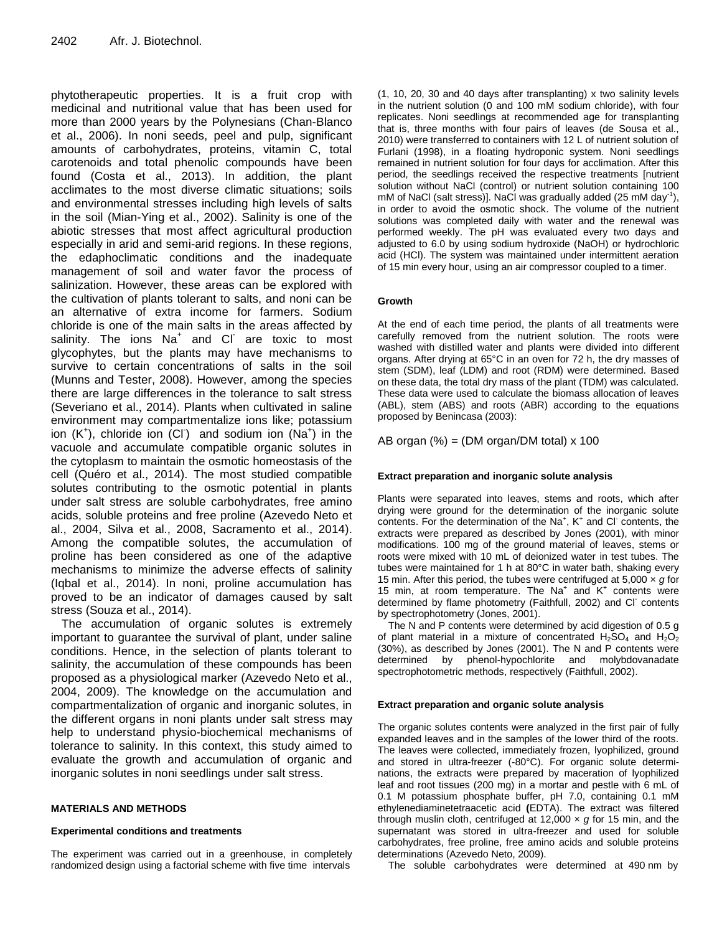phytotherapeutic properties. It is a fruit crop with medicinal and nutritional value that has been used for more than 2000 years by the Polynesians (Chan-Blanco et al., 2006). In noni seeds, peel and pulp, significant amounts of carbohydrates, proteins, vitamin C, total carotenoids and total phenolic compounds have been found (Costa et al., 2013). In addition, the plant acclimates to the most diverse climatic situations; soils and environmental stresses including high levels of salts in the soil (Mian-Ying et al., 2002). Salinity is one of the abiotic stresses that most affect agricultural production especially in arid and semi-arid regions. In these regions, the edaphoclimatic conditions and the inadequate management of soil and water favor the process of salinization. However, these areas can be explored with the cultivation of plants tolerant to salts, and noni can be an alternative of extra income for farmers. Sodium chloride is one of the main salts in the areas affected by salinity. The ions  $Na^+$  and Cl are toxic to most glycophytes, but the plants may have mechanisms to survive to certain concentrations of salts in the soil (Munns and Tester, 2008). However, among the species there are large differences in the tolerance to salt stress (Severiano et al., 2014). Plants when cultivated in saline environment may compartmentalize ions like; potassium ion  $(K^+)$ , chloride ion  $(Cl)$  and sodium ion  $(Na^+)$  in the vacuole and accumulate compatible organic solutes in the cytoplasm to maintain the osmotic homeostasis of the cell (Quéro et al., 2014). The most studied compatible solutes contributing to the osmotic potential in plants under salt stress are soluble carbohydrates, free amino acids, soluble proteins and free proline (Azevedo Neto et al., 2004, Silva et al., 2008, Sacramento et al., 2014). Among the compatible solutes, the accumulation of proline has been considered as one of the adaptive mechanisms to minimize the adverse effects of salinity (Iqbal et al., 2014). In noni, proline accumulation has proved to be an indicator of damages caused by salt stress (Souza et al., 2014).

The accumulation of organic solutes is extremely important to guarantee the survival of plant, under saline conditions. Hence, in the selection of plants tolerant to salinity, the accumulation of these compounds has been proposed as a physiological marker (Azevedo Neto et al., 2004, 2009). The knowledge on the accumulation and compartmentalization of organic and inorganic solutes, in the different organs in noni plants under salt stress may help to understand physio-biochemical mechanisms of tolerance to salinity. In this context, this study aimed to evaluate the growth and accumulation of organic and inorganic solutes in noni seedlings under salt stress.

## **MATERIALS AND METHODS**

#### **Experimental conditions and treatments**

The experiment was carried out in a greenhouse, in completely randomized design using a factorial scheme with five time intervals

(1, 10, 20, 30 and 40 days after transplanting) x two salinity levels in the nutrient solution (0 and 100 mM sodium chloride), with four replicates. Noni seedlings at recommended age for transplanting that is, three months with four pairs of leaves (de Sousa et al., 2010) were transferred to containers with 12 L of nutrient solution of Furlani (1998), in a floating hydroponic system. Noni seedlings remained in nutrient solution for four days for acclimation. After this period, the seedlings received the respective treatments [nutrient solution without NaCl (control) or nutrient solution containing 100 mM of NaCl (salt stress)]. NaCl was gradually added (25 mM day<sup>-1</sup>), in order to avoid the osmotic shock. The volume of the nutrient solutions was completed daily with water and the renewal was performed weekly. The pH was evaluated every two days and adjusted to 6.0 by using sodium hydroxide (NaOH) or hydrochloric acid (HCl). The system was maintained under intermittent aeration of 15 min every hour, using an air compressor coupled to a timer.

## **Growth**

At the end of each time period, the plants of all treatments were carefully removed from the nutrient solution. The roots were washed with distilled water and plants were divided into different organs. After drying at 65°C in an oven for 72 h, the dry masses of stem (SDM), leaf (LDM) and root (RDM) were determined. Based on these data, the total dry mass of the plant (TDM) was calculated. These data were used to calculate the biomass allocation of leaves (ABL), stem (ABS) and roots (ABR) according to the equations proposed by Benincasa (2003):

AB organ  $%$  = (DM organ/DM total) x 100

#### **Extract preparation and inorganic solute analysis**

Plants were separated into leaves, stems and roots, which after drying were ground for the determination of the inorganic solute contents. For the determination of the Na<sup>+</sup>,  $K^+$  and Cl<sup>-</sup> contents, the extracts were prepared as described by Jones (2001), with minor modifications. 100 mg of the ground material of leaves, stems or roots were mixed with 10 mL of deionized water in test tubes. The tubes were maintained for 1 h at 80°C in water bath, shaking every 15 min. After this period, the tubes were centrifuged at 5,000 × *g* for 15 min, at room temperature. The Na<sup>+</sup> and K<sup>+</sup> contents were determined by flame photometry (Faithfull, 2002) and Cl<sup>-</sup> contents by spectrophotometry (Jones, 2001).

The N and P contents were determined by acid digestion of 0.5 g of plant material in a mixture of concentrated  $H_2SO_4$  and  $H_2O_2$ (30%), as described by Jones (2001). The N and P contents were determined by phenol-hypochlorite and molybdovanadate spectrophotometric methods, respectively (Faithfull, 2002).

#### **Extract preparation and organic solute analysis**

The organic solutes contents were analyzed in the first pair of fully expanded leaves and in the samples of the lower third of the roots. The leaves were collected, immediately frozen, lyophilized, ground and stored in ultra-freezer (-80°C). For organic solute determinations, the extracts were prepared by maceration of lyophilized leaf and root tissues (200 mg) in a mortar and pestle with 6 mL of 0.1 M potassium phosphate buffer, pH 7.0, containing 0.1 mM ethylenediaminetetraacetic acid **(**EDTA). The extract was filtered through muslin cloth, centrifuged at 12,000 × *g* for 15 min, and the supernatant was stored in ultra-freezer and used for soluble carbohydrates, free proline, free amino acids and soluble proteins determinations (Azevedo Neto, 2009).

The soluble carbohydrates were determined at 490 nm by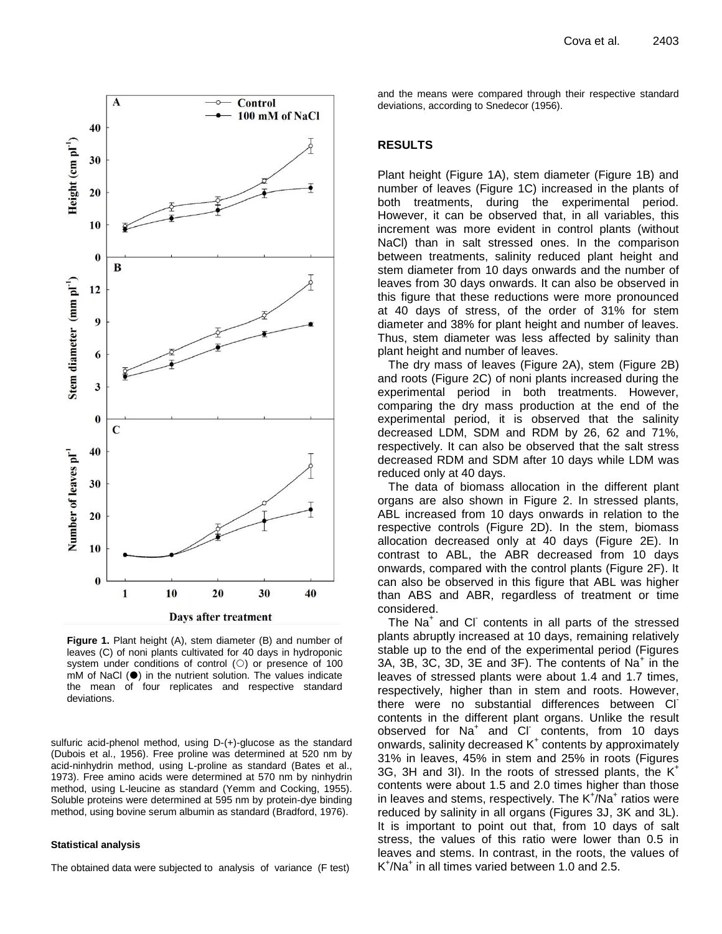

**Figure 1.** Plant height (A), stem diameter (B) and number of leaves (C) of noni plants cultivated for 40 days in hydroponic system under conditions of control  $(O)$  or presence of 100  $m$ M of NaCl ( $\bullet$ ) in the nutrient solution. The values indicate the mean of four replicates and respective standard deviations.

sulfuric acid-phenol method, using D-(+)-glucose as the standard (Dubois et al., 1956). Free proline was determined at 520 nm by acid-ninhydrin method, using L-proline as standard (Bates et al., 1973). Free amino acids were determined at 570 nm by ninhydrin method, using L-leucine as standard (Yemm and Cocking, 1955). Soluble proteins were determined at 595 nm by protein-dye binding method, using bovine serum albumin as standard (Bradford, 1976).

#### **Statistical analysis**

The obtained data were subjected to analysis of variance (F test)

and the means were compared through their respective standard deviations, according to Snedecor (1956).

#### **RESULTS**

Plant height (Figure 1A), stem diameter (Figure 1B) and number of leaves (Figure 1C) increased in the plants of both treatments, during the experimental period. However, it can be observed that, in all variables, this increment was more evident in control plants (without NaCl) than in salt stressed ones. In the comparison between treatments, salinity reduced plant height and stem diameter from 10 days onwards and the number of leaves from 30 days onwards. It can also be observed in this figure that these reductions were more pronounced at 40 days of stress, of the order of 31% for stem diameter and 38% for plant height and number of leaves. Thus, stem diameter was less affected by salinity than plant height and number of leaves.

The dry mass of leaves (Figure 2A), stem (Figure 2B) and roots (Figure 2C) of noni plants increased during the experimental period in both treatments. However, comparing the dry mass production at the end of the experimental period, it is observed that the salinity decreased LDM, SDM and RDM by 26, 62 and 71%, respectively. It can also be observed that the salt stress decreased RDM and SDM after 10 days while LDM was reduced only at 40 days.

The data of biomass allocation in the different plant organs are also shown in Figure 2. In stressed plants, ABL increased from 10 days onwards in relation to the respective controls (Figure 2D). In the stem, biomass allocation decreased only at 40 days (Figure 2E). In contrast to ABL, the ABR decreased from 10 days onwards, compared with the control plants (Figure 2F). It can also be observed in this figure that ABL was higher than ABS and ABR, regardless of treatment or time considered.

The Na<sup>+</sup> and Cl<sup>-</sup> contents in all parts of the stressed plants abruptly increased at 10 days, remaining relatively stable up to the end of the experimental period (Figures 3A, 3B,  $3C$ , 3D, 3E and 3F). The contents of Na<sup>+</sup> in the leaves of stressed plants were about 1.4 and 1.7 times, respectively, higher than in stem and roots. However, there were no substantial differences between Clcontents in the different plant organs. Unlike the result observed for Na<sup>+</sup> and Cl contents, from 10 days onwards, salinity decreased K<sup>+</sup> contents by approximately 31% in leaves, 45% in stem and 25% in roots (Figures 3G, 3H and 3I). In the roots of stressed plants, the  $K^+$ contents were about 1.5 and 2.0 times higher than those in leaves and stems, respectively. The  $K^*/Na^*$  ratios were reduced by salinity in all organs (Figures 3J, 3K and 3L). It is important to point out that, from 10 days of salt stress, the values of this ratio were lower than 0.5 in leaves and stems. In contrast, in the roots, the values of K<sup>+</sup>/Na<sup>+</sup> in all times varied between 1.0 and 2.5.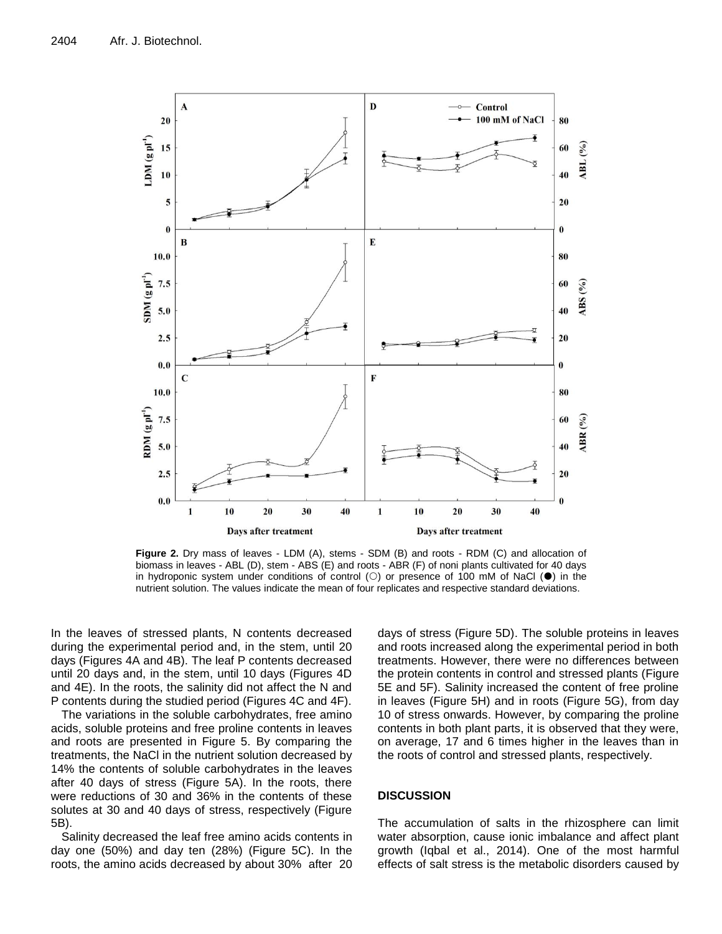

**Figure 2.** Dry mass of leaves - LDM (A), stems - SDM (B) and roots - RDM (C) and allocation of biomass in leaves - ABL (D), stem - ABS (E) and roots - ABR (F) of noni plants cultivated for 40 days in hydroponic system under conditions of control  $(O)$  or presence of 100 mM of NaCl ( $\bullet$ ) in the nutrient solution. The values indicate the mean of four replicates and respective standard deviations.

In the leaves of stressed plants, N contents decreased during the experimental period and, in the stem, until 20 days (Figures 4A and 4B). The leaf P contents decreased until 20 days and, in the stem, until 10 days (Figures 4D and 4E). In the roots, the salinity did not affect the N and P contents during the studied period (Figures 4C and 4F).

The variations in the soluble carbohydrates, free amino acids, soluble proteins and free proline contents in leaves and roots are presented in Figure 5. By comparing the treatments, the NaCl in the nutrient solution decreased by 14% the contents of soluble carbohydrates in the leaves after 40 days of stress (Figure 5A). In the roots, there were reductions of 30 and 36% in the contents of these solutes at 30 and 40 days of stress, respectively (Figure 5B).

Salinity decreased the leaf free amino acids contents in day one (50%) and day ten (28%) (Figure 5C). In the roots, the amino acids decreased by about 30% after 20 days of stress (Figure 5D). The soluble proteins in leaves and roots increased along the experimental period in both treatments. However, there were no differences between the protein contents in control and stressed plants (Figure 5E and 5F). Salinity increased the content of free proline in leaves (Figure 5H) and in roots (Figure 5G), from day 10 of stress onwards. However, by comparing the proline contents in both plant parts, it is observed that they were, on average, 17 and 6 times higher in the leaves than in the roots of control and stressed plants, respectively.

# **DISCUSSION**

The accumulation of salts in the rhizosphere can limit water absorption, cause ionic imbalance and affect plant growth (Iqbal et al., 2014). One of the most harmful effects of salt stress is the metabolic disorders caused by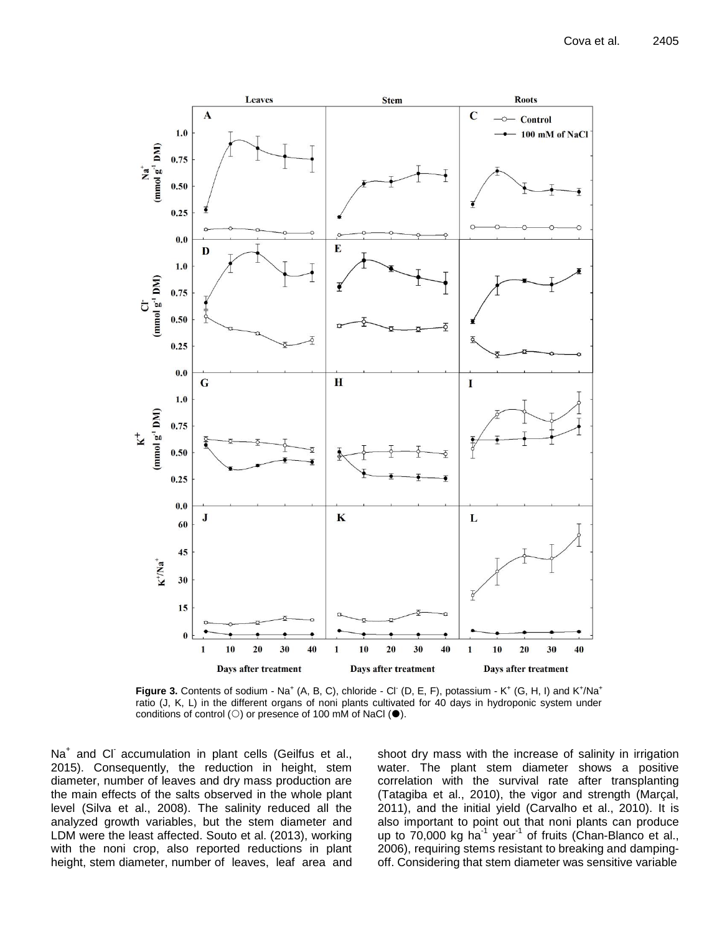

Figure 3. Contents of sodium - Na<sup>+</sup> (A, B, C), chloride - Cl<sup>-</sup> (D, E, F), potassium - K<sup>+</sup> (G, H, I) and K<sup>+</sup>/Na<sup>+</sup> ratio (J, K, L) in the different organs of noni plants cultivated for 40 days in hydroponic system under conditions of control ( $\circ$ ) or presence of 100 mM of NaCl ( $\bullet$ ).

Na<sup>+</sup> and Cl<sup>-</sup> accumulation in plant cells (Geilfus et al., 2015). Consequently, the reduction in height, stem diameter, number of leaves and dry mass production are the main effects of the salts observed in the whole plant level (Silva et al., 2008). The salinity reduced all the analyzed growth variables, but the stem diameter and LDM were the least affected. Souto et al. (2013), working with the noni crop, also reported reductions in plant height, stem diameter, number of leaves, leaf area and

shoot dry mass with the increase of salinity in irrigation water. The plant stem diameter shows a positive correlation with the survival rate after transplanting (Tatagiba et al., 2010), the vigor and strength (Marçal, 2011), and the initial yield (Carvalho et al., 2010). It is also important to point out that noni plants can produce up to  $70,000$  kg ha<sup>-1</sup> year<sup>-1</sup> of fruits (Chan-Blanco et al., 2006), requiring stems resistant to breaking and dampingoff. Considering that stem diameter was sensitive variable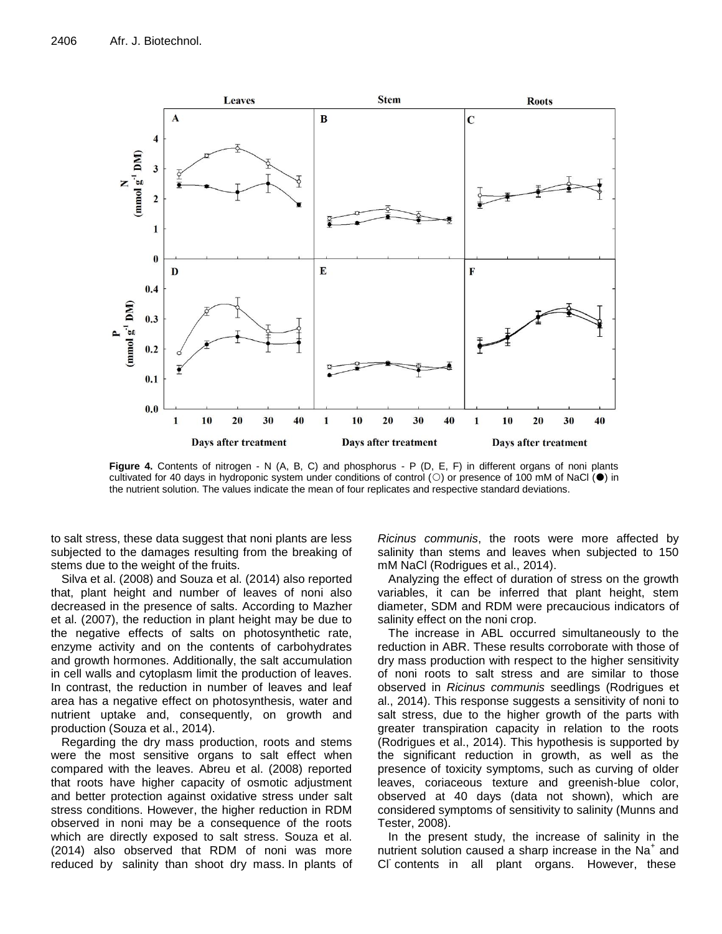

**Figure 4.** Contents of nitrogen - N (A, B, C) and phosphorus - P (D, E, F) in different organs of noni plants cultivated for 40 days in hydroponic system under conditions of control ( $\circ$ ) or presence of 100 mM of NaCl ( $\bullet$ ) in the nutrient solution. The values indicate the mean of four replicates and respective standard deviations.

to salt stress, these data suggest that noni plants are less subjected to the damages resulting from the breaking of stems due to the weight of the fruits.

Silva et al. (2008) and Souza et al. (2014) also reported that, plant height and number of leaves of noni also decreased in the presence of salts. According to Mazher et al. (2007), the reduction in plant height may be due to the negative effects of salts on photosynthetic rate, enzyme activity and on the contents of carbohydrates and growth hormones. Additionally, the salt accumulation in cell walls and cytoplasm limit the production of leaves. In contrast, the reduction in number of leaves and leaf area has a negative effect on photosynthesis, water and nutrient uptake and, consequently, on growth and production (Souza et al., 2014).

Regarding the dry mass production, roots and stems were the most sensitive organs to salt effect when compared with the leaves. Abreu et al. (2008) reported that roots have higher capacity of osmotic adjustment and better protection against oxidative stress under salt stress conditions. However, the higher reduction in RDM observed in noni may be a consequence of the roots which are directly exposed to salt stress. Souza et al. (2014) also observed that RDM of noni was more reduced by salinity than shoot dry mass. In plants of

*Ricinus communis*, the roots were more affected by salinity than stems and leaves when subjected to 150 mM NaCl (Rodrigues et al., 2014).

Analyzing the effect of duration of stress on the growth variables, it can be inferred that plant height, stem diameter, SDM and RDM were precaucious indicators of salinity effect on the noni crop.

The increase in ABL occurred simultaneously to the reduction in ABR. These results corroborate with those of dry mass production with respect to the higher sensitivity of noni roots to salt stress and are similar to those observed in *Ricinus communis* seedlings (Rodrigues et al., 2014). This response suggests a sensitivity of noni to salt stress, due to the higher growth of the parts with greater transpiration capacity in relation to the roots (Rodrigues et al., 2014). This hypothesis is supported by the significant reduction in growth, as well as the presence of toxicity symptoms, such as curving of older leaves, coriaceous texture and greenish-blue color, observed at 40 days (data not shown), which are considered symptoms of sensitivity to salinity (Munns and Tester, 2008).

In the present study, the increase of salinity in the nutrient solution caused a sharp increase in the Na<sup>+</sup> and Cl contents in all plant organs. However, these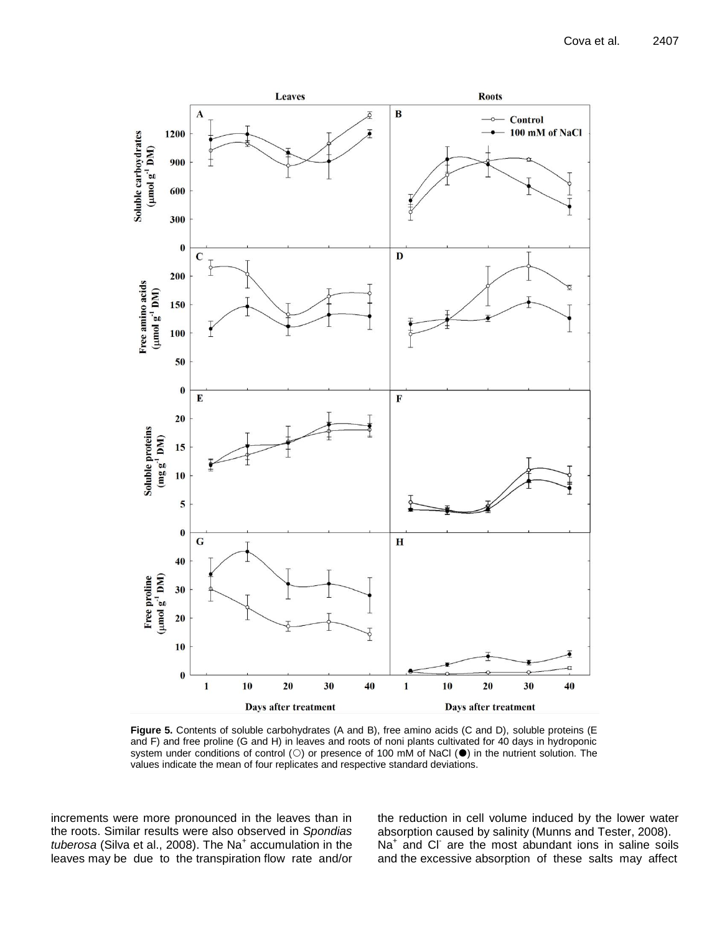

**Figure 5.** Contents of soluble carbohydrates (A and B), free amino acids (C and D), soluble proteins (E and F) and free proline (G and H) in leaves and roots of noni plants cultivated for 40 days in hydroponic system under conditions of control  $(\circ)$  or presence of 100 mM of NaCl ( $\bullet$ ) in the nutrient solution. The values indicate the mean of four replicates and respective standard deviations.

increments were more pronounced in the leaves than in the roots. Similar results were also observed in *Spondias*  tuberosa (Silva et al., 2008). The Na<sup>+</sup> accumulation in the leaves may be due to the transpiration flow rate and/or

the reduction in cell volume induced by the lower water absorption caused by salinity (Munns and Tester, 2008). Na<sup>+</sup> and CI are the most abundant ions in saline soils and the excessive absorption of these salts may affect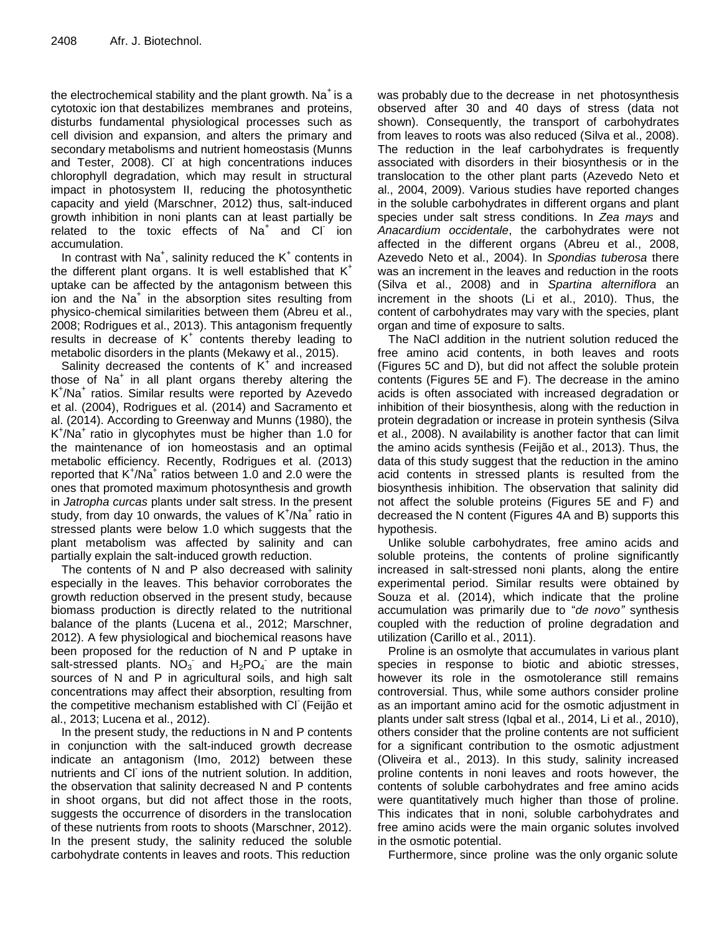the electrochemical stability and the plant growth. Na<sup>+</sup> is a cytotoxic ion that destabilizes membranes and proteins, disturbs fundamental physiological processes such as cell division and expansion, and alters the primary and secondary metabolisms and nutrient homeostasis (Munns and Tester, 2008). Cl at high concentrations induces chlorophyll degradation, which may result in structural impact in photosystem II, reducing the photosynthetic capacity and yield (Marschner, 2012) thus, salt-induced growth inhibition in noni plants can at least partially be related to the toxic effects of Na<sup>+</sup> and Cl ion accumulation.

In contrast with Na<sup>+</sup>, salinity reduced the  $K^+$  contents in the different plant organs. It is well established that  $K^+$ uptake can be affected by the antagonism between this ion and the Na<sup>+</sup> in the absorption sites resulting from physico-chemical similarities between them (Abreu et al., 2008; Rodrigues et al., 2013). This antagonism frequently results in decrease of  $K^+$  contents thereby leading to metabolic disorders in the plants (Mekawy et al., 2015).

Salinity decreased the contents of  $K^+$  and increased those of Na<sup>+</sup> in all plant organs thereby altering the K<sup>+</sup>/Na<sup>+</sup> ratios. Similar results were reported by Azevedo et al. (2004), Rodrigues et al. (2014) and Sacramento et al. (2014). According to Greenway and Munns (1980), the K<sup>+</sup>/Na<sup>+</sup> ratio in glycophytes must be higher than 1.0 for the maintenance of ion homeostasis and an optimal metabolic efficiency. Recently, Rodrigues et al. (2013) reported that  $K^{\dagger}/Na^{\dagger}$  ratios between 1.0 and 2.0 were the ones that promoted maximum photosynthesis and growth in *Jatropha curcas* plants under salt stress. In the present study, from day 10 onwards, the values of  $K^{\dagger}/\text{Na}^{\dagger}$  ratio in stressed plants were below 1.0 which suggests that the plant metabolism was affected by salinity and can partially explain the salt-induced growth reduction.

The contents of N and P also decreased with salinity especially in the leaves. This behavior corroborates the growth reduction observed in the present study, because biomass production is directly related to the nutritional balance of the plants (Lucena et al., 2012; Marschner, 2012). A few physiological and biochemical reasons have been proposed for the reduction of N and P uptake in salt-stressed plants.  $NO_3$  and  $H_2PO_4$  are the main sources of N and P in agricultural soils, and high salt concentrations may affect their absorption, resulting from the competitive mechanism established with Cl- (Feijão et al., 2013; Lucena et al., 2012).

In the present study, the reductions in N and P contents in conjunction with the salt-induced growth decrease indicate an antagonism (Imo, 2012) between these nutrients and Cl-ions of the nutrient solution. In addition, the observation that salinity decreased N and P contents in shoot organs, but did not affect those in the roots, suggests the occurrence of disorders in the translocation of these nutrients from roots to shoots (Marschner, 2012). In the present study, the salinity reduced the soluble carbohydrate contents in leaves and roots. This reduction

was probably due to the decrease in net photosynthesis observed after 30 and 40 days of stress (data not shown). Consequently, the transport of carbohydrates from leaves to roots was also reduced (Silva et al., 2008). The reduction in the leaf carbohydrates is frequently associated with disorders in their biosynthesis or in the translocation to the other plant parts (Azevedo Neto et al., 2004, 2009). Various studies have reported changes in the soluble carbohydrates in different organs and plant species under salt stress conditions. In *Zea mays* and *Anacardium occidentale*, the carbohydrates were not affected in the different organs (Abreu et al., 2008, Azevedo Neto et al., 2004). In *Spondias tuberosa* there was an increment in the leaves and reduction in the roots (Silva et al., 2008) and in *Spartina alterniflora* an increment in the shoots (Li et al., 2010). Thus, the content of carbohydrates may vary with the species, plant organ and time of exposure to salts.

The NaCl addition in the nutrient solution reduced the free amino acid contents, in both leaves and roots (Figures 5C and D), but did not affect the soluble protein contents (Figures 5E and F). The decrease in the amino acids is often associated with increased degradation or inhibition of their biosynthesis, along with the reduction in protein degradation or increase in protein synthesis (Silva et al., 2008). N availability is another factor that can limit the amino acids synthesis (Feijão et al., 2013). Thus, the data of this study suggest that the reduction in the amino acid contents in stressed plants is resulted from the biosynthesis inhibition. The observation that salinity did not affect the soluble proteins (Figures 5E and F) and decreased the N content (Figures 4A and B) supports this hypothesis.

Unlike soluble carbohydrates, free amino acids and soluble proteins, the contents of proline significantly increased in salt-stressed noni plants, along the entire experimental period. Similar results were obtained by Souza et al. (2014), which indicate that the proline accumulation was primarily due to "*de novo"* synthesis coupled with the reduction of proline degradation and utilization (Carillo et al., 2011).

Proline is an osmolyte that accumulates in various plant species in response to biotic and abiotic stresses, however its role in the osmotolerance still remains controversial. Thus, while some authors consider proline as an important amino acid for the osmotic adjustment in plants under salt stress (Iqbal et al., 2014, Li et al., 2010), others consider that the proline contents are not sufficient for a significant contribution to the osmotic adjustment (Oliveira et al., 2013). In this study, salinity increased proline contents in noni leaves and roots however, the contents of soluble carbohydrates and free amino acids were quantitatively much higher than those of proline. This indicates that in noni, soluble carbohydrates and free amino acids were the main organic solutes involved in the osmotic potential.

Furthermore, since proline was the only organic solute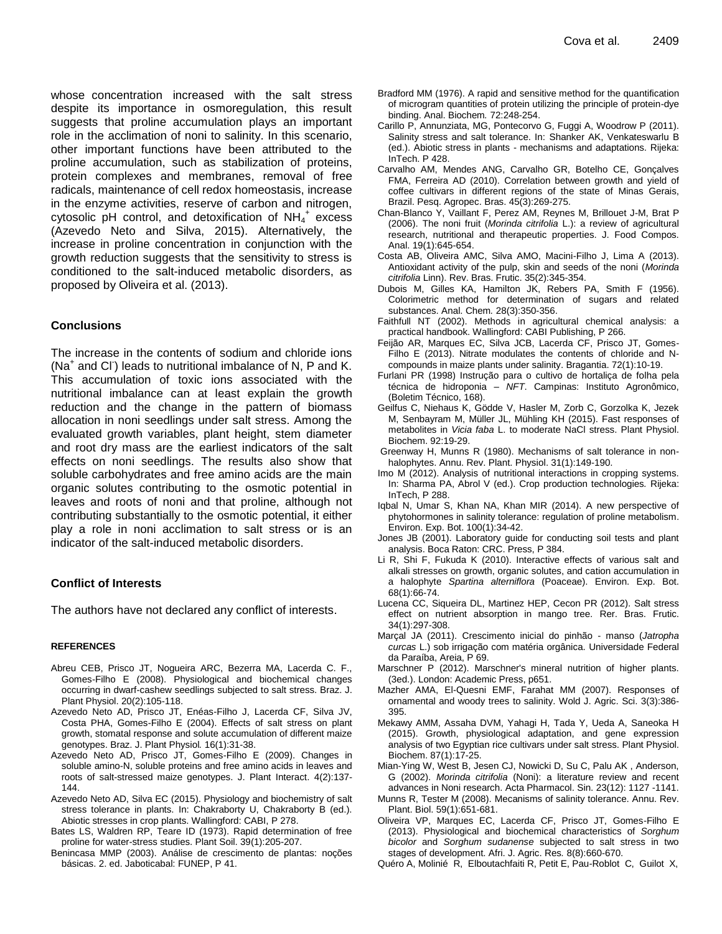whose concentration increased with the salt stress despite its importance in osmoregulation, this result suggests that proline accumulation plays an important role in the acclimation of noni to salinity. In this scenario, other important functions have been attributed to the proline accumulation, such as stabilization of proteins, protein complexes and membranes, removal of free radicals, maintenance of cell redox homeostasis, increase in the enzyme activities, reserve of carbon and nitrogen, cytosolic pH control, and detoxification of  $NH_4^+$  excess (Azevedo Neto and Silva, 2015). Alternatively, the increase in proline concentration in conjunction with the growth reduction suggests that the sensitivity to stress is conditioned to the salt-induced metabolic disorders, as proposed by Oliveira et al. (2013).

#### **Conclusions**

The increase in the contents of sodium and chloride ions  $(Na<sup>+</sup>$  and CI  $)$  leads to nutritional imbalance of N, P and K. This accumulation of toxic ions associated with the nutritional imbalance can at least explain the growth reduction and the change in the pattern of biomass allocation in noni seedlings under salt stress. Among the evaluated growth variables, plant height, stem diameter and root dry mass are the earliest indicators of the salt effects on noni seedlings. The results also show that soluble carbohydrates and free amino acids are the main organic solutes contributing to the osmotic potential in leaves and roots of noni and that proline, although not contributing substantially to the osmotic potential, it either play a role in noni acclimation to salt stress or is an indicator of the salt-induced metabolic disorders.

# **Conflict of Interests**

The authors have not declared any conflict of interests.

#### **REFERENCES**

- Abreu CEB, Prisco JT, Nogueira ARC, Bezerra MA, Lacerda C. F., Gomes-Filho E (2008). Physiological and biochemical changes occurring in dwarf-cashew seedlings subjected to salt stress. Braz. J. Plant Physiol. 20(2):105-118.
- Azevedo Neto AD, Prisco JT, Enéas-Filho J, Lacerda CF, Silva JV, Costa PHA, Gomes-Filho E (2004). Effects of salt stress on plant growth, stomatal response and solute accumulation of different maize genotypes. Braz. J. Plant Physiol*.* 16(1):31-38.
- Azevedo Neto AD, Prisco JT, Gomes-Filho E (2009). Changes in soluble amino-N, soluble proteins and free amino acids in leaves and roots of salt-stressed maize genotypes. J. Plant Interact. 4(2):137- 144.
- Azevedo Neto AD, Silva EC (2015). Physiology and biochemistry of salt stress tolerance in plants. In: Chakraborty U, Chakraborty B (ed.). Abiotic stresses in crop plants. Wallingford: CABI, P 278.
- Bates LS, Waldren RP, Teare ID (1973). Rapid determination of free proline for water-stress studies. Plant Soil. 39(1):205-207.
- Benincasa MMP (2003). Análise de crescimento de plantas: noções básicas. 2. ed. Jaboticabal: FUNEP, P 41.
- Bradford MM (1976). A rapid and sensitive method for the quantification of microgram quantities of protein utilizing the principle of protein-dye binding. Anal. Biochem*.* 72:248-254.
- Carillo P, Annunziata, MG, Pontecorvo G, Fuggi A, Woodrow P (2011). Salinity stress and salt tolerance. In: Shanker AK, Venkateswarlu B (ed.). Abiotic stress in plants - mechanisms and adaptations. Rijeka: InTech. P 428.
- Carvalho AM, Mendes ANG, Carvalho GR, Botelho CE, Gonçalves FMA, Ferreira AD (2010). Correlation between growth and yield of coffee cultivars in different regions of the state of Minas Gerais, Brazil. Pesq. Agropec. Bras. 45(3):269-275.
- Chan-Blanco Y, Vaillant F, Perez AM, Reynes M, Brillouet J-M, Brat P (2006). The noni fruit (*Morinda citrifolia* L.): a review of agricultural research, nutritional and therapeutic properties. J. Food Compos. Anal. 19(1):645-654.
- Costa AB, Oliveira AMC, Silva AMO, Macini-Filho J, Lima A (2013). Antioxidant activity of the pulp, skin and seeds of the noni (*Morinda citrifolia* Linn). Rev. Bras. Frutic. 35(2):345-354.
- Dubois M, Gilles KA, Hamilton JK, Rebers PA, Smith F (1956). Colorimetric method for determination of sugars and related substances. Anal. Chem*.* 28(3):350-356.
- Faithfull NT (2002). Methods in agricultural chemical analysis: a practical handbook. Wallingford: CABI Publishing, P 266.
- Feijão AR, Marques EC, Silva JCB, Lacerda CF, Prisco JT, Gomes-Filho E (2013). Nitrate modulates the contents of chloride and Ncompounds in maize plants under salinity. Bragantia. 72(1):10-19.
- Furlani PR (1998) Instrução para o cultivo de hortaliça de folha pela técnica de hidroponia *– NFT*. Campinas: Instituto Agronômico, (Boletim Técnico, 168).
- Geilfus C, Niehaus K, Gödde V, Hasler M, Zorb C, Gorzolka K, Jezek M, Senbayram M, Müller JL, Mühling KH (2015). Fast responses of metabolites in *Vicia faba* L. to moderate NaCl stress. Plant Physiol. Biochem. 92:19-29.
- Greenway H, Munns R (1980). Mechanisms of salt tolerance in nonhalophytes. Annu. Rev. Plant. Physiol. 31(1):149-190.
- Imo M (2012). Analysis of nutritional interactions in cropping systems. In: Sharma PA, Abrol V (ed.). Crop production technologies*.* Rijeka: InTech, P 288.
- Iqbal N, Umar S, Khan NA, Khan MIR (2014). A new perspective of phytohormones in salinity tolerance: regulation of proline metabolism. Environ. Exp. Bot. 100(1):34-42.
- Jones JB (2001). Laboratory guide for conducting soil tests and plant analysis. Boca Raton: CRC. Press, P 384.
- Li R, Shi F, Fukuda K (2010). Interactive effects of various salt and alkali stresses on growth, organic solutes, and cation accumulation in a halophyte *Spartina alterniflora* (Poaceae). Environ. Exp. Bot. 68(1):66-74.
- Lucena CC, Siqueira DL, Martinez HEP, Cecon PR (2012). Salt stress effect on nutrient absorption in mango tree. Rer. Bras. Frutic. 34(1):297-308.
- Marçal JA (2011). Crescimento inicial do pinhão manso (*Jatropha curcas* L.) sob irrigação com matéria orgânica. Universidade Federal da Paraíba, Areia, P 69.
- Marschner P (2012). Marschner's mineral nutrition of higher plants. (3ed.). London: Academic Press, p651.
- Mazher AMA, El-Quesni EMF, Farahat MM (2007). Responses of ornamental and woody trees to salinity. Wold J. Agric. Sci. 3(3):386- 395.
- Mekawy AMM, Assaha DVM, Yahagi H, Tada Y, Ueda A, Saneoka H (2015). Growth, physiological adaptation, and gene expression analysis of two Egyptian rice cultivars under salt stress. Plant Physiol. Biochem. 87(1):17-25.
- Mian-Ying W, West B, Jesen CJ, Nowicki D, Su C, Palu AK , Anderson, G (2002). *Morinda citrifolia* (Noni): a literature review and recent advances in Noni research. Acta Pharmacol. Sin. 23(12): 1127 -1141.
- Munns R, Tester M (2008). Mecanisms of salinity tolerance. Annu. Rev. Plant. Biol. 59(1):651-681.
- Oliveira VP, Marques EC, Lacerda CF, Prisco JT, Gomes-Filho E (2013). Physiological and biochemical characteristics of *Sorghum bicolor* and *Sorghum sudanense* subjected to salt stress in two stages of development. Afri. J. Agric. Res*.* 8(8):660-670.
- Quéro A, Molinié R, Elboutachfaiti R, Petit E, Pau-Roblot C, Guilot X,